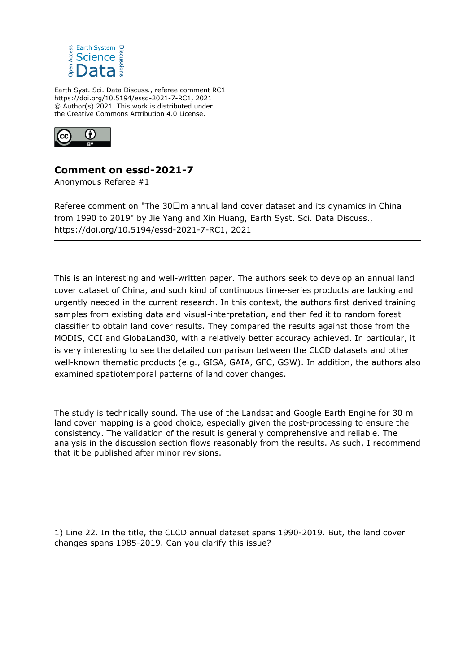

Earth Syst. Sci. Data Discuss., referee comment RC1 https://doi.org/10.5194/essd-2021-7-RC1, 2021 © Author(s) 2021. This work is distributed under the Creative Commons Attribution 4.0 License.



## **Comment on essd-2021-7**

Anonymous Referee #1

Referee comment on "The 30 m annual land cover dataset and its dynamics in China from 1990 to 2019" by Jie Yang and Xin Huang, Earth Syst. Sci. Data Discuss., https://doi.org/10.5194/essd-2021-7-RC1, 2021

This is an interesting and well-written paper. The authors seek to develop an annual land cover dataset of China, and such kind of continuous time-series products are lacking and urgently needed in the current research. In this context, the authors first derived training samples from existing data and visual-interpretation, and then fed it to random forest classifier to obtain land cover results. They compared the results against those from the MODIS, CCI and GlobaLand30, with a relatively better accuracy achieved. In particular, it is very interesting to see the detailed comparison between the CLCD datasets and other well-known thematic products (e.g., GISA, GAIA, GFC, GSW). In addition, the authors also examined spatiotemporal patterns of land cover changes.

The study is technically sound. The use of the Landsat and Google Earth Engine for 30 m land cover mapping is a good choice, especially given the post-processing to ensure the consistency. The validation of the result is generally comprehensive and reliable. The analysis in the discussion section flows reasonably from the results. As such, I recommend that it be published after minor revisions.

1) Line 22. In the title, the CLCD annual dataset spans 1990-2019. But, the land cover changes spans 1985-2019. Can you clarify this issue?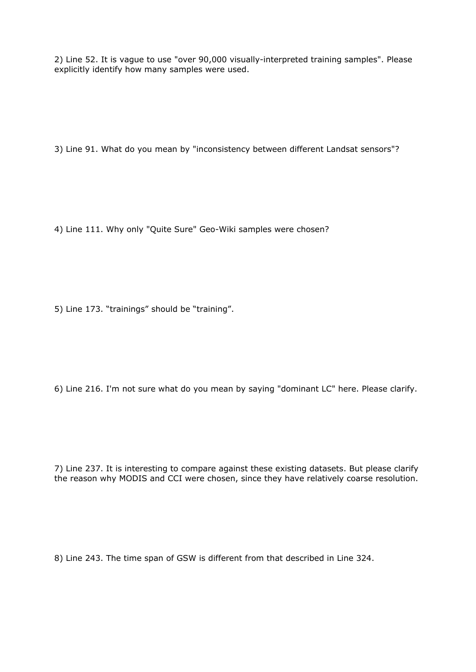2) Line 52. It is vague to use "over 90,000 visually-interpreted training samples". Please explicitly identify how many samples were used.

3) Line 91. What do you mean by "inconsistency between different Landsat sensors"?

4) Line 111. Why only "Quite Sure" Geo-Wiki samples were chosen?

5) Line 173. "trainings" should be "training".

6) Line 216. I'm not sure what do you mean by saying "dominant LC" here. Please clarify.

7) Line 237. It is interesting to compare against these existing datasets. But please clarify the reason why MODIS and CCI were chosen, since they have relatively coarse resolution.

8) Line 243. The time span of GSW is different from that described in Line 324.